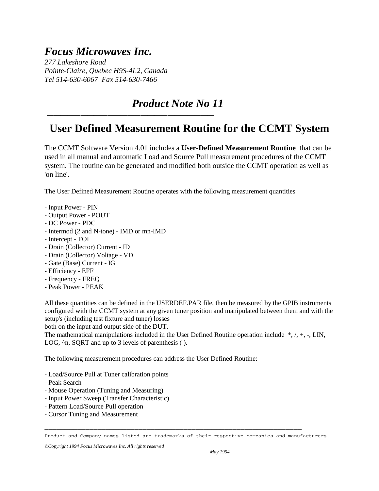## *Focus Microwaves Inc.*

*277 Lakeshore Road Pointe-Claire, Quebec H9S-4L2, Canada Tel 514-630-6067 Fax 514-630-7466* 

─────────────────────────

## *Product Note No 11*

## **User Defined Measurement Routine for the CCMT System**

The CCMT Software Version 4.01 includes a **User-Defined Measurement Routine** that can be used in all manual and automatic Load and Source Pull measurement procedures of the CCMT system. The routine can be generated and modified both outside the CCMT operation as well as 'on line'.

The User Defined Measurement Routine operates with the following measurement quantities

- Input Power PIN
- Output Power POUT
- DC Power PDC
- Intermod (2 and N-tone) IMD or mn-IMD
- Intercept TOI
- Drain (Collector) Current ID
- Drain (Collector) Voltage VD
- Gate (Base) Current IG
- Efficiency EFF
- Frequency FREQ
- Peak Power PEAK

All these quantities can be defined in the USERDEF.PAR file, then be measured by the GPIB instruments configured with the CCMT system at any given tuner position and manipulated between them and with the setup's (including test fixture and tuner) losses

both on the input and output side of the DUT.

The mathematical manipulations included in the User Defined Routine operation include  $*, \land, +, -, \text{LIN},$ LOG,  $\land$ n, SQRT and up to 3 levels of parenthesis ( ).

The following measurement procedures can address the User Defined Routine:

- Load/Source Pull at Tuner calibration points
- Peak Search
- Mouse Operation (Tuning and Measuring)
- Input Power Sweep (Transfer Characteristic)
- Pattern Load/Source Pull operation
- Cursor Tuning and Measurement

─────────────────────────────────────────────────────────────── Product and Company names listed are trademarks of their respective companies and manufacturers.

*©Copyright 1994 Focus Microwaves Inc. All rights reserved*